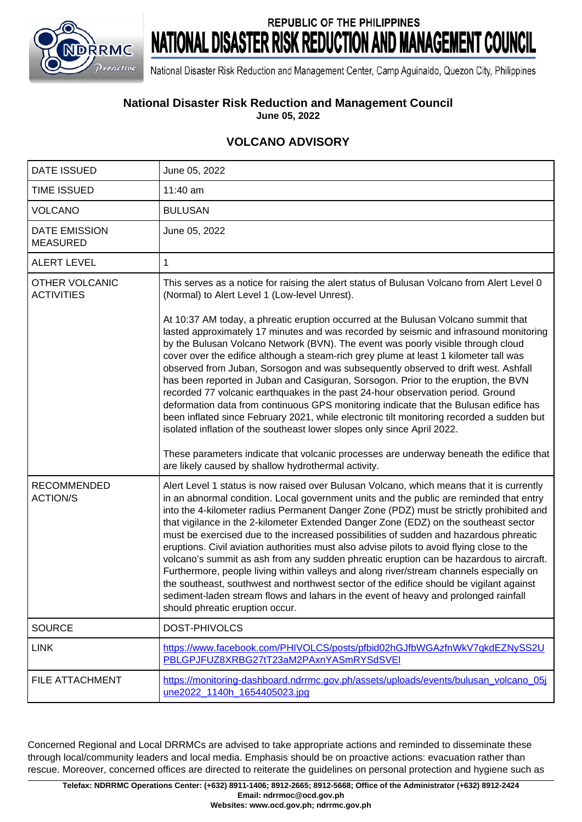

## **REPUBLIC OF THE PHILIPPINES** NATIONAL DISASTER RISK REDUCTION AND MANAGEMENT COUNCIL

National Disaster Risk Reduction and Management Center, Camp Aguinaldo, Quezon City, Philippines

## **National Disaster Risk Reduction and Management Council**

**June 05, 2022**

## **VOLCANO ADVISORY**

| <b>DATE ISSUED</b>                         | June 05, 2022                                                                                                                                                                                                                                                                                                                                                                                                                                                                                                                                                                                                                                                                                                                                                                                                                                                                                                                                                                                                                                                                                                                                                                             |
|--------------------------------------------|-------------------------------------------------------------------------------------------------------------------------------------------------------------------------------------------------------------------------------------------------------------------------------------------------------------------------------------------------------------------------------------------------------------------------------------------------------------------------------------------------------------------------------------------------------------------------------------------------------------------------------------------------------------------------------------------------------------------------------------------------------------------------------------------------------------------------------------------------------------------------------------------------------------------------------------------------------------------------------------------------------------------------------------------------------------------------------------------------------------------------------------------------------------------------------------------|
| <b>TIME ISSUED</b>                         | 11:40 am                                                                                                                                                                                                                                                                                                                                                                                                                                                                                                                                                                                                                                                                                                                                                                                                                                                                                                                                                                                                                                                                                                                                                                                  |
| <b>VOLCANO</b>                             | <b>BULUSAN</b>                                                                                                                                                                                                                                                                                                                                                                                                                                                                                                                                                                                                                                                                                                                                                                                                                                                                                                                                                                                                                                                                                                                                                                            |
| DATE EMISSION<br><b>MEASURED</b>           | June 05, 2022                                                                                                                                                                                                                                                                                                                                                                                                                                                                                                                                                                                                                                                                                                                                                                                                                                                                                                                                                                                                                                                                                                                                                                             |
| <b>ALERT LEVEL</b>                         | 1                                                                                                                                                                                                                                                                                                                                                                                                                                                                                                                                                                                                                                                                                                                                                                                                                                                                                                                                                                                                                                                                                                                                                                                         |
| <b>OTHER VOLCANIC</b><br><b>ACTIVITIES</b> | This serves as a notice for raising the alert status of Bulusan Volcano from Alert Level 0<br>(Normal) to Alert Level 1 (Low-level Unrest).<br>At 10:37 AM today, a phreatic eruption occurred at the Bulusan Volcano summit that<br>lasted approximately 17 minutes and was recorded by seismic and infrasound monitoring<br>by the Bulusan Volcano Network (BVN). The event was poorly visible through cloud<br>cover over the edifice although a steam-rich grey plume at least 1 kilometer tall was<br>observed from Juban, Sorsogon and was subsequently observed to drift west. Ashfall<br>has been reported in Juban and Casiguran, Sorsogon. Prior to the eruption, the BVN<br>recorded 77 volcanic earthquakes in the past 24-hour observation period. Ground<br>deformation data from continuous GPS monitoring indicate that the Bulusan edifice has<br>been inflated since February 2021, while electronic tilt monitoring recorded a sudden but<br>isolated inflation of the southeast lower slopes only since April 2022.<br>These parameters indicate that volcanic processes are underway beneath the edifice that<br>are likely caused by shallow hydrothermal activity. |
| <b>RECOMMENDED</b><br><b>ACTION/S</b>      | Alert Level 1 status is now raised over Bulusan Volcano, which means that it is currently<br>in an abnormal condition. Local government units and the public are reminded that entry<br>into the 4-kilometer radius Permanent Danger Zone (PDZ) must be strictly prohibited and<br>that vigilance in the 2-kilometer Extended Danger Zone (EDZ) on the southeast sector<br>must be exercised due to the increased possibilities of sudden and hazardous phreatic<br>eruptions. Civil aviation authorities must also advise pilots to avoid flying close to the<br>volcano's summit as ash from any sudden phreatic eruption can be hazardous to aircraft.<br>Furthermore, people living within valleys and along river/stream channels especially on<br>the southeast, southwest and northwest sector of the edifice should be vigilant against<br>sediment-laden stream flows and lahars in the event of heavy and prolonged rainfall<br>should phreatic eruption occur.                                                                                                                                                                                                                 |
| <b>SOURCE</b>                              | DOST-PHIVOLCS                                                                                                                                                                                                                                                                                                                                                                                                                                                                                                                                                                                                                                                                                                                                                                                                                                                                                                                                                                                                                                                                                                                                                                             |
| <b>LINK</b>                                | https://www.facebook.com/PHIVOLCS/posts/pfbid02hGJfbWGAzfnWkV7qkdEZNySS2U<br>PBLGPJFUZ8XRBG27tT23aM2PAxnYASmRYSdSVEI                                                                                                                                                                                                                                                                                                                                                                                                                                                                                                                                                                                                                                                                                                                                                                                                                                                                                                                                                                                                                                                                      |
| FILE ATTACHMENT                            | https://monitoring-dashboard.ndrrmc.gov.ph/assets/uploads/events/bulusan_volcano_05j<br>une2022 1140h 1654405023.jpg                                                                                                                                                                                                                                                                                                                                                                                                                                                                                                                                                                                                                                                                                                                                                                                                                                                                                                                                                                                                                                                                      |

Concerned Regional and Local DRRMCs are advised to take appropriate actions and reminded to disseminate these through local/community leaders and local media. Emphasis should be on proactive actions: evacuation rather than rescue. Moreover, concerned offices are directed to reiterate the guidelines on personal protection and hygiene such as